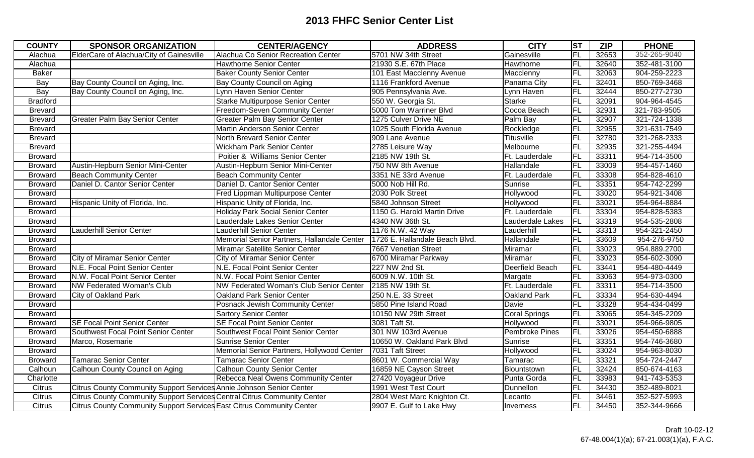| <b>COUNTY</b>   | <b>SPONSOR ORGANIZATION</b>                                              | <b>CENTER/AGENCY</b>                        | <b>ADDRESS</b>                 | <b>CITY</b>          | <b>ST</b> | <b>ZIP</b> | <b>PHONE</b> |
|-----------------|--------------------------------------------------------------------------|---------------------------------------------|--------------------------------|----------------------|-----------|------------|--------------|
| Alachua         | ElderCare of Alachua/City of Gainesville                                 | Alachua Co Senior Recreation Center         | 5701 NW 34th Street            | Gainesville          | <b>FL</b> | 32653      | 352-265-9040 |
| Alachua         |                                                                          | Hawthorne Senior Center                     | 21930 S.E. 67th Place          | Hawthorne            | FL        | 32640      | 352-481-3100 |
| <b>Baker</b>    |                                                                          | <b>Baker County Senior Center</b>           | 101 East Macclenny Avenue      | Macclenny            | <b>FL</b> | 32063      | 904-259-2223 |
| Bay             | Bay County Council on Aging, Inc.                                        | Bay County Council on Aging                 | 1116 Frankford Avenue          | Panama City          | FL        | 32401      | 850-769-3468 |
| Bay             | Bay County Council on Aging, Inc.                                        | Lynn Haven Senior Center                    | 905 Pennsylvania Ave.          | Lynn Haven           | <b>FL</b> | 32444      | 850-277-2730 |
| <b>Bradford</b> |                                                                          | Starke Multipurpose Senior Center           | 550 W. Georgia St.             | <b>Starke</b>        | <b>FL</b> | 32091      | 904-964-4545 |
| <b>Brevard</b>  |                                                                          | Freedom-Seven Community Center              | 5000 Tom Warriner Blvd         | Cocoa Beach          | FL        | 32931      | 321-783-9505 |
| <b>Brevard</b>  | <b>Greater Palm Bay Senior Center</b>                                    | <b>Greater Palm Bay Senior Center</b>       | 1275 Culver Drive NE           | Palm Bay             | FL        | 32907      | 321-724-1338 |
| <b>Brevard</b>  |                                                                          | Martin Anderson Senior Center               | 1025 South Florida Avenue      | Rockledge            | <b>FL</b> | 32955      | 321-631-7549 |
| <b>Brevard</b>  |                                                                          | North Brevard Senior Center                 | 909 Lane Avenue                | <b>Titusville</b>    | <b>FL</b> | 32780      | 321-268-2333 |
| <b>Brevard</b>  |                                                                          | Wickham Park Senior Center                  | 2785 Leisure Way               | Melbourne            | FL        | 32935      | 321-255-4494 |
| <b>Broward</b>  |                                                                          | Poitier & Williams Senior Center            | 2185 NW 19th St.               | Ft. Lauderdale       | FL        | 33311      | 954-714-3500 |
| <b>Broward</b>  | Austin-Hepburn Senior Mini-Center                                        | Austin-Hepburn Senior Mini-Center           | 750 NW 8th Avenue              | Hallandale           | FL        | 33009      | 954-457-1460 |
| <b>Broward</b>  | <b>Beach Community Center</b>                                            | <b>Beach Community Center</b>               | 3351 NE 33rd Avenue            | Ft. Lauderdale       | FL        | 33308      | 954-828-4610 |
| <b>Broward</b>  | Daniel D. Cantor Senior Center                                           | Daniel D. Cantor Senior Center              | 5000 Nob Hill Rd.              | Sunrise              | FL        | 33351      | 954-742-2299 |
| <b>Broward</b>  |                                                                          | Fred Lippman Multipurpose Center            | 2030 Polk Street               | Hollywood            | FL        | 33020      | 954-921-3408 |
| <b>Broward</b>  | Hispanic Unity of Florida, Inc.                                          | Hispanic Unity of Florida, Inc.             | 5840 Johnson Street            | Hollywood            | FL        | 33021      | 954-964-8884 |
| <b>Broward</b>  |                                                                          | Holiday Park Social Senior Center           | 1150 G. Harold Martin Drive    | Ft. Lauderdale       | FL        | 33304      | 954-828-5383 |
| <b>Broward</b>  |                                                                          | Lauderdale Lakes Senior Center              | 4340 NW 36th St.               | Lauderdale Lakes     | FL        | 33319      | 954-535-2808 |
| <b>Broward</b>  | <b>Lauderhill Senior Center</b>                                          | <b>Lauderhill Senior Center</b>             | 1176 N.W. 42 Way               | Lauderhill           | FL        | 33313      | 954-321-2450 |
| <b>Broward</b>  |                                                                          | Memorial Senior Partners, Hallandale Center | 1726 E. Hallandale Beach Blvd. | Hallandale           | <b>FL</b> | 33609      | 954-276-9750 |
| <b>Broward</b>  |                                                                          | Miramar Satellite Senior Center             | 7667 Venetian Street           | Miramar              | <b>FL</b> | 33023      | 954.889.2700 |
| <b>Broward</b>  | <b>City of Miramar Senior Center</b>                                     | City of Miramar Senior Center               | 6700 Miramar Parkway           | Miramar              | <b>FL</b> | 33023      | 954-602-3090 |
| <b>Broward</b>  | N.E. Focal Point Senior Center                                           | N.E. Focal Point Senior Center              | 227 NW 2nd St.                 | Deerfield Beach      | FL        | 33441      | 954-480-4449 |
| <b>Broward</b>  | N.W. Focal Point Senior Center                                           | N.W. Focal Point Senior Center              | 6009 N.W. 10th St.             | Margate              | <b>FL</b> | 33063      | 954-973-0300 |
| <b>Broward</b>  | NW Federated Woman's Club                                                | NW Federated Woman's Club Senior Center     | 2185 NW 19th St.               | Ft. Lauderdale       | FL        | 33311      | 954-714-3500 |
| <b>Broward</b>  | City of Oakland Park                                                     | <b>Oakland Park Senior Center</b>           | 250 N.E. 33 Street             | Oakland Park         | FL        | 33334      | 954-630-4494 |
| <b>Broward</b>  |                                                                          | Posnack Jewish Community Center             | 5850 Pine Island Road          | Davie                | <b>FL</b> | 33328      | 954-434-0499 |
| <b>Broward</b>  |                                                                          | <b>Sartory Senior Center</b>                | 10150 NW 29th Street           | <b>Coral Springs</b> | FL        | 33065      | 954-345-2209 |
| <b>Broward</b>  | <b>SE Focal Point Senior Center</b>                                      | <b>SE Focal Point Senior Center</b>         | 3081 Taft St.                  | Hollywood            | FL        | 33021      | 954-966-9805 |
| <b>Broward</b>  | Southwest Focal Point Senior Center                                      | Southwest Focal Point Senior Center         | 301 NW 103rd Avenue            | Pembroke Pines       | FL        | 33026      | 954-450-6888 |
| <b>Broward</b>  | Marco, Rosemarie                                                         | Sunrise Senior Center                       | 10650 W. Oakland Park Blvd     | Sunrise              | <b>FL</b> | 33351      | 954-746-3680 |
| <b>Broward</b>  |                                                                          | Memorial Senior Partners, Hollywood Center  | 7031 Taft Street               | Hollywood            | FL        | 33024      | 954-963-8030 |
| <b>Broward</b>  | <b>Tamarac Senior Center</b>                                             | <b>Tamarac Senior Center</b>                | 8601 W. Commercial Way         | Tamarac              | <b>FL</b> | 33321      | 954-724-2447 |
| Calhoun         | Calhoun County Council on Aging                                          | <b>Calhoun County Senior Center</b>         | 16859 NE Cayson Street         | Blountstown          | FL        | 32424      | 850-674-4163 |
| Charlotte       |                                                                          | <b>Rebecca Neal Owens Community Center</b>  | 27420 Voyageur Drive           | Punta Gorda          | FL        | 33983      | 941-743-5353 |
| Citrus          | Citrus County Community Support Services Annie Johnson Senior Center     |                                             | 1991 West Test Court           | Dunnellon            | FL        | 34430      | 352-489-8021 |
| Citrus          | Citrus County Community Support Services Central Citrus Community Center |                                             | 2804 West Marc Knighton Ct.    | Lecanto              | FL        | 34461      | 352-527-5993 |
| Citrus          | Citrus County Community Support Services East Citrus Community Center    |                                             | 9907 E. Gulf to Lake Hwy       | Inverness            | <b>FL</b> | 34450      | 352-344-9666 |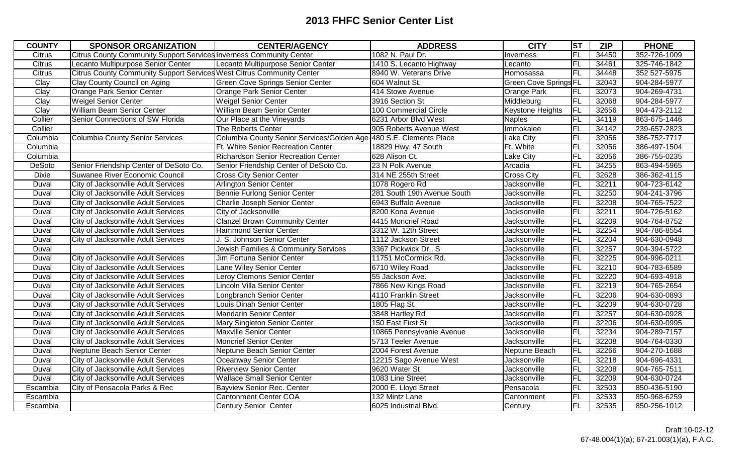| <b>COUNTY</b> | <b>SPONSOR ORGANIZATION</b>                                           | <b>CENTER/AGENCY</b>                                               | <b>ADDRESS</b>              | <b>CITY</b>                  | <b>ST</b> | <b>ZIP</b> | <b>PHONE</b> |
|---------------|-----------------------------------------------------------------------|--------------------------------------------------------------------|-----------------------------|------------------------------|-----------|------------|--------------|
| <b>Citrus</b> | Citrus County Community Support Services Inverness Community Center   |                                                                    | 1082 N. Paul Dr.            | Inverness                    | FL        | 34450      | 352-726-1009 |
| Citrus        | Lecanto Multipurpose Senior Center                                    | Lecanto Multipurpose Senior Center                                 | 1410 S. Lecanto Highway     | Lecanto                      | FL        | 34461      | 325-746-1842 |
| <b>Citrus</b> | Citrus County Community Support Services West Citrus Community Center |                                                                    | 8940 W. Veterans Drive      | Homosassa                    | FL        | 34448      | 352 527-5975 |
| Clay          | Clay County Council on Aging                                          | <b>Green Cove Springs Senior Center</b>                            | 604 Walnut St.              | <b>Green Cove Springs FL</b> |           | 32043      | 904-284-5977 |
| Clay          | Orange Park Senior Center                                             | Orange Park Senior Center                                          | 414 Stowe Avenue            | Orange Park                  | <b>FL</b> | 32073      | 904-269-4731 |
| Clay          | <b>Weigel Senior Center</b>                                           | <b>Weigel Senior Center</b>                                        | 3916 Section St             | Middleburg                   | FL        | 32068      | 904-284-5977 |
| Clay          | <b>William Beam Senior Center</b>                                     | William Beam Senior Center                                         | 100 Commercial Circle       | Keystone Heights             | FL        | 32656      | 904-473-2112 |
| Collier       | Senior Connections of SW Florida                                      | Our Place at the Vineyards                                         | 6231 Arbor Blvd West        | Naples                       | FL        | 34119      | 863-675-1446 |
| Collier       |                                                                       | The Roberts Center                                                 | 905 Roberts Avenue West     | Immokalee                    | FL        | 34142      | 239-657-2823 |
| Columbia      | <b>Columbia County Senior Services</b>                                | Columbia County Senior Services/Golden Age 480 S.E. Clements Place |                             | Lake City                    | FL        | 32056      | 386-752-7717 |
| Columbia      |                                                                       | Ft. White Senior Recreation Center                                 | 18829 Hwy. 47 South         | Ft. White                    | FL        | 32056      | 386-497-1504 |
| Columbia      |                                                                       | <b>Richardson Senior Recreation Center</b>                         | 628 Alison Ct.              | Lake City                    | FL        | 32056      | 386-755-0235 |
| DeSoto        | Senior Friendship Center of DeSoto Co.                                | Senior Friendship Center of DeSoto Co.                             | 23 N Polk Avenue            | Arcadia                      | <b>FL</b> | 34255      | 863-494-5965 |
| <b>Dixie</b>  | Suwanee River Economic Council                                        | <b>Cross City Senior Center</b>                                    | 314 NE 255th Street         | <b>Cross City</b>            | FL        | 32628      | 386-362-4115 |
| Duval         | City of Jacksonville Adult Services                                   | Arlington Senior Center                                            | 1078 Rogero Rd              | Jacksonville                 | FL        | 32211      | 904-723-6142 |
| Duval         | City of Jacksonville Adult Services                                   | <b>Bennie Furlong Senior Center</b>                                | 281 South 19th Avenue South | Jacksonville                 | FL        | 32250      | 904-241-3796 |
| Duval         | City of Jacksonville Adult Services                                   | Charlie Joseph Senior Center                                       | 6943 Buffalo Avenue         | Jacksonville                 | FL        | 32208      | 904-765-7522 |
| Duval         | City of Jacksonville Adult Services                                   | City of Jacksonville                                               | 8200 Kona Avenue            | Jacksonville                 | FL        | 32211      | 904-726-5162 |
| Duval         | City of Jacksonville Adult Services                                   | <b>Clanzel Brown Community Center</b>                              | 4415 Moncrief Road          | Jacksonville                 | FL        | 32209      | 904-764-8752 |
| Duval         | City of Jacksonville Adult Services                                   | <b>Hammond Senior Center</b>                                       | 3312 W. 12th Street         | Jacksonville                 | FL        | 32254      | 904-786-8554 |
| Duval         | City of Jacksonville Adult Services                                   | J. S. Johnson Senior Center                                        | 1112 Jackson Street         | Jacksonville                 | FL        | 32204      | 904-630-0948 |
| Duval         |                                                                       | Jewish Families & Community Services                               | 3367 Pickwick Dr., S        | Jacksonville                 | FL        | 32257      | 904-394-5722 |
| Duval         | City of Jacksonville Adult Services                                   | Jim Fortuna Senior Center                                          | 11751 McCormick Rd.         | Jacksonville                 | FL        | 32225      | 904-996-0211 |
| Duval         | City of Jacksonville Adult Services                                   | Lane Wiley Senior Center                                           | 6710 Wiley Road             | Jacksonville                 | FL        | 32210      | 904-783-6589 |
| Duval         | City of Jacksonville Adult Services                                   | Leroy Clemons Senior Center                                        | 55 Jackson Ave.             | Jacksonville                 | FL        | 32220      | 904-693-4918 |
| Duval         | City of Jacksonville Adult Services                                   | Lincoln Villa Senior Center                                        | 7866 New Kings Road         | Jacksonville                 | FL        | 32219      | 904-765-2654 |
| Duval         | City of Jacksonville Adult Services                                   | Longbranch Senior Center                                           | 4110 Franklin Street        | Jacksonville                 | FL        | 32206      | 904-630-0893 |
| Duval         | City of Jacksonville Adult Services                                   | Louis Dinah Senior Center                                          | 1805 Flag St.               | Jacksonville                 | FL        | 32209      | 904-630-0728 |
| Duval         | City of Jacksonville Adult Services                                   | <b>Mandarin Senior Center</b>                                      | 3848 Hartley Rd             | Jacksonville                 | FL        | 32257      | 904-630-0928 |
| Duval         | City of Jacksonville Adult Services                                   | Mary Singleton Senior Center                                       | 150 East First St           | Jacksonville                 | FL        | 32206      | 904-630-0995 |
| Duval         | City of Jacksonville Adult Services                                   | Maxville Senior Center                                             | 10865 Pennsylvanie Avenue   | Jacksonville                 | FL        | 32234      | 904-289-7157 |
| Duval         | City of Jacksonville Adult Services                                   | <b>Moncrief Senior Center</b>                                      | 5713 Teeler Avenue          | Jacksonville                 | FL        | 32208      | 904-764-0330 |
| Duval         | Neptune Beach Senior Center                                           | Neptune Beach Senior Center                                        | 2004 Forest Avenue          | Neptune Beach                | FL        | 32266      | 904-270-1688 |
| Duval         | City of Jacksonville Adult Services                                   | Oceanway Senior Center                                             | 12215 Sago Avenue West      | Jacksonville                 | FL        | 32218      | 904-696-4331 |
| Duval         | City of Jacksonville Adult Services                                   | <b>Riverview Senior Center</b>                                     | 9620 Water St               | Jacksonville                 | FL        | 32208      | 904-765-7511 |
| Duval         | City of Jacksonville Adult Services                                   | <b>Wallace Small Senior Center</b>                                 | 1083 Line Street            | Jacksonville                 | FL        | 32209      | 904-630-0724 |
| Escambia      | City of Pensacola Parks & Rec                                         | Bayview Senior Rec. Center                                         | 2000 E. Lloyd Street        | Pensacola                    | FL        | 32503      | 850-436-5190 |
| Escambia      |                                                                       | <b>Cantonment Center COA</b>                                       | 132 Mintz Lane              | Cantonment                   | FL        | 32533      | 850-968-6259 |
| Escambia      |                                                                       | <b>Century Senior Center</b>                                       | 6025 Industrial Blvd.       | Century                      | FL        | 32535      | 850-256-1012 |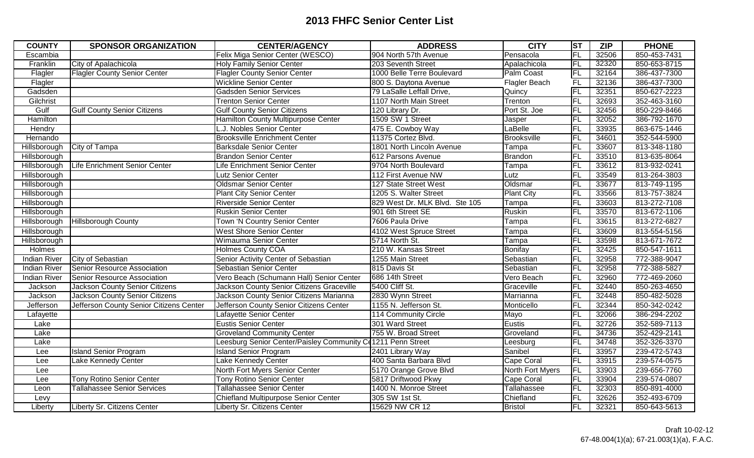| <b>COUNTY</b>       | <b>SPONSOR ORGANIZATION</b>             | <b>CENTER/AGENCY</b>                                        | <b>ADDRESS</b>                 | <b>CITY</b>       | $ \mathsf{ST} $ | <b>ZIP</b> | <b>PHONE</b> |
|---------------------|-----------------------------------------|-------------------------------------------------------------|--------------------------------|-------------------|-----------------|------------|--------------|
| Escambia            |                                         | Felix Miga Senior Center (WESCO)                            | 904 North 57th Avenue          | Pensacola         | FL              | 32506      | 850-453-7431 |
| Franklin            | City of Apalachicola                    | <b>Holy Family Senior Center</b>                            | 203 Seventh Street             | Apalachicola      | FL              | 32320      | 850-653-8715 |
| Flagler             | <b>Flagler County Senior Center</b>     | <b>Flagler County Senior Center</b>                         | 1000 Belle Terre Boulevard     | Palm Coast        | FL              | 32164      | 386-437-7300 |
| Flagler             |                                         | <b>Wickline Senior Center</b>                               | 800 S. Daytona Avenue          | Flagler Beach     | F <sub>L</sub>  | 32136      | 386-437-7300 |
| Gadsden             |                                         | Gadsden Senior Services                                     | 79 LaSalle Leffall Drive,      | Quincy            | FL              | 32351      | 850-627-2223 |
| Gilchrist           |                                         | <b>Trenton Senior Center</b>                                | 1107 North Main Street         | Trenton           | <b>FL</b>       | 32693      | 352-463-3160 |
| Gulf                | <b>Gulf County Senior Citizens</b>      | <b>Gulf County Senior Citizens</b>                          | 120 Library Dr.                | Port St. Joe      | FL              | 32456      | 850-229-8466 |
| Hamilton            |                                         | Hamilton County Multipurpose Center                         | 1509 SW 1 Street               | Jasper            | FL              | 32052      | 386-792-1670 |
| Hendry              |                                         | L.J. Nobles Senior Center                                   | 475 E. Cowboy Way              | LaBelle           | <b>FL</b>       | 33935      | 863-675-1446 |
| Hernando            |                                         | <b>Brooksville Enrichment Center</b>                        | 11375 Cortez Blvd.             | Brooksville       | FL              | 34601      | 352-544-5900 |
| Hillsborough        | City of Tampa                           | <b>Barksdale Senior Center</b>                              | 1801 North Lincoln Avenue      | Tampa             | FL              | 33607      | 813-348-1180 |
| Hillsborough        |                                         | <b>Brandon Senior Center</b>                                | 612 Parsons Avenue             | Brandon           | FL              | 33510      | 813-635-8064 |
| Hillsborough        | Life Enrichment Senior Center           | Life Enrichment Senior Center                               | 9704 North Boulevard           | Tampa             | <b>FL</b>       | 33612      | 813-932-0241 |
| Hillsborough        |                                         | Lutz Senior Center                                          | 112 First Avenue NW            | Lutz              | FL              | 33549      | 813-264-3803 |
| Hillsborough        |                                         | <b>Oldsmar Senior Center</b>                                | 127 State Street West          | Oldsmar           | FL              | 33677      | 813-749-1195 |
| Hillsborough        |                                         | <b>Plant City Senior Center</b>                             | 1205 S. Walter Street          | <b>Plant City</b> | <b>FL</b>       | 33566      | 813-757-3824 |
| Hillsborough        |                                         | <b>Riverside Senior Center</b>                              | 829 West Dr. MLK Blvd. Ste 105 | Tampa             | FL              | 33603      | 813-272-7108 |
| Hillsborough        |                                         | <b>Ruskin Senior Center</b>                                 | 901 6th Street SE              | Ruskin            | FL              | 33570      | 813-672-1106 |
| Hillsborough        | <b>Hillsborough County</b>              | Town 'N Country Senior Center                               | 7606 Paula Drive               | Tampa             | <b>FL</b>       | 33615      | 813-272-6827 |
| Hillsborough        |                                         | <b>West Shore Senior Center</b>                             | 4102 West Spruce Street        | Tampa             | <b>FL</b>       | 33609      | 813-554-5156 |
| Hillsborough        |                                         | Wimauma Senior Center                                       | 5714 North St.                 | Tampa             | <b>FL</b>       | 33598      | 813-671-7672 |
| Holmes              |                                         | Holmes County COA                                           | 210 W. Kansas Street           | Bonifay           | FL              | 32425      | 850-547-1611 |
| <b>Indian River</b> | City of Sebastian                       | Senior Activity Center of Sebastian                         | 1255 Main Street               | Sebastian         | $\overline{FL}$ | 32958      | 772-388-9047 |
| <b>Indian River</b> | Senior Resource Association             | Sebastian Senior Center                                     | 815 Davis St                   | Sebastian         | <b>FL</b>       | 32958      | 772-388-5827 |
| <b>Indian River</b> | Senior Resource Association             | Vero Beach (Schumann Hall) Senior Center                    | 686 14th Street                | Vero Beach        | FL              | 32960      | 772-469-2060 |
| Jackson             | <b>Jackson County Senior Citizens</b>   | Jackson County Senior Citizens Graceville                   | 5400 Cliff St.                 | Graceville        | FL              | 32440      | 850-263-4650 |
| Jackson             | <b>Jackson County Senior Citizens</b>   | Jackson County Senior Citizens Marianna                     | 2830 Wynn Street               | Marrianna         | <b>FL</b>       | 32448      | 850-482-5028 |
| Jefferson           | Jefferson County Senior Citizens Center | Jefferson County Senior Citizens Center                     | 1155 N. Jefferson St.          | Monticello        | <b>FL</b>       | 32344      | 850-342-0242 |
| Lafayette           |                                         | Lafayette Senior Center                                     | 114 Community Circle           | Mayo              | FL              | 32066      | 386-294-2202 |
| Lake                |                                         | <b>Eustis Senior Center</b>                                 | 301 Ward Street                | Eustis            | FL              | 32726      | 352-589-7113 |
| Lake                |                                         | <b>Groveland Community Center</b>                           | 755 W. Broad Street            | Groveland         | <b>FL</b>       | 34736      | 352-429-2141 |
| Lake                |                                         | Leesburg Senior Center/Paisley Community Ce1211 Penn Street |                                | Leesburg          | FL              | 34748      | 352-326-3370 |
| Lee                 | <b>Island Senior Program</b>            | <b>Island Senior Program</b>                                | 2401 Library Way               | Sanibel           | FL              | 33957      | 239-472-5743 |
| Lee                 | Lake Kennedy Center                     | Lake Kennedy Center                                         | 400 Santa Barbara Blvd         | Cape Coral        | FL              | 33915      | 239-574-0575 |
| Lee                 |                                         | North Fort Myers Senior Center                              | 5170 Orange Grove Blvd         | North Fort Myers  | FL              | 33903      | 239-656-7760 |
| Lee                 | <b>Tony Rotino Senior Center</b>        | <b>Tony Rotino Senior Center</b>                            | 5817 Driftwood Pkwy            | Cape Coral        | FL              | 33904      | 239-574-0807 |
| Leon                | <b>Tallahassee Senior Services</b>      | <b>Tallahassee Senior Center</b>                            | 1400 N. Monroe Street          | Tallahassee       | FL              | 32303      | 850-891-4000 |
| Levy                |                                         | <b>Chiefland Multipurpose Senior Center</b>                 | 305 SW 1st St.                 | Chiefland         | <b>FL</b>       | 32626      | 352-493-6709 |
| Liberty             | Liberty Sr. Citizens Center             | Liberty Sr. Citizens Center                                 | 15629 NW CR 12                 | Bristol           | FL              | 32321      | 850-643-5613 |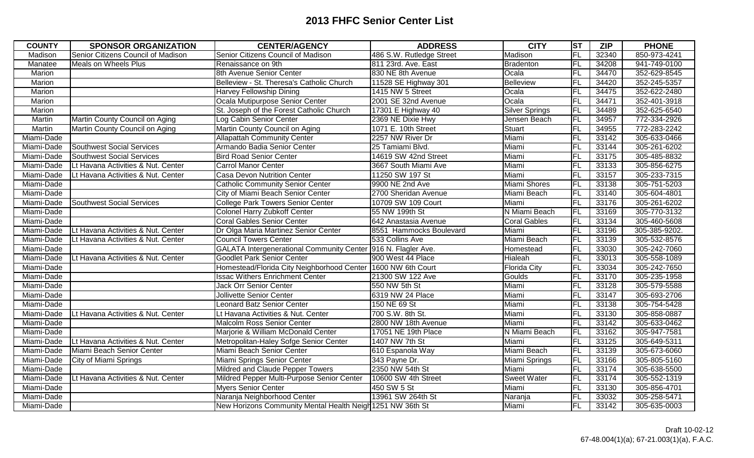| <b>COUNTY</b> | <b>SPONSOR ORGANIZATION</b>        | <b>CENTER/AGENCY</b>                                          | <b>ADDRESS</b>           | <b>CITY</b>         | ST             | <b>ZIP</b> | <b>PHONE</b>  |
|---------------|------------------------------------|---------------------------------------------------------------|--------------------------|---------------------|----------------|------------|---------------|
| Madison       | Senior Citizens Council of Madison | Senior Citizens Council of Madison                            | 486 S.W. Rutledge Street | Madison             | <b>FL</b>      | 32340      | 850-973-4241  |
| Manatee       | <b>Meals on Wheels Plus</b>        | Renaissance on 9th                                            | 811 23rd. Ave. East      | Bradenton           | FL             | 34208      | 941-749-0100  |
| Marion        |                                    | 8th Avenue Senior Center                                      | 830 NE 8th Avenue        | Ocala               | FL             | 34470      | 352-629-8545  |
| Marion        |                                    | Belleview - St. Theresa's Catholic Church                     | 11528 SE Highway 301     | Belleview           | FL             | 34420      | 352-245-5357  |
| Marion        |                                    | <b>Harvey Fellowship Dining</b>                               | 1415 NW 5 Street         | Ocala               | FL             | 34475      | 352-622-2480  |
| Marion        |                                    | Ocala Mutipurpose Senior Center                               | 2001 SE 32nd Avenue      | Ocala               | FL             | 34471      | 352-401-3918  |
| Marion        |                                    | St. Joseph of the Forest Catholic Church                      | 17301 E Highway 40       | Silver Springs      | F <sub>L</sub> | 34489      | 352-625-6540  |
| Martin        | Martin County Council on Aging     | Log Cabin Senior Center                                       | 2369 NE Dixie Hwy        | Jensen Beach        | FL             | 34957      | 772-334-2926  |
| Martin        | Martin County Council on Aging     | Martin County Council on Aging                                | 1071 E. 10th Street      | Stuart              | FL             | 34955      | 772-283-2242  |
| Miami-Dade    |                                    | <b>Allapattah Community Center</b>                            | 2257 NW River Dr         | Miami               | F <sub>L</sub> | 33142      | 305-633-0466  |
| Miami-Dade    | Southwest Social Services          | Armando Badia Senior Center                                   | 25 Tamiami Blvd.         | Miami               | FL             | 33144      | 305-261-6202  |
| Miami-Dade    | Southwest Social Services          | <b>Bird Road Senior Center</b>                                | 14619 SW 42nd Street     | Miami               | FL             | 33175      | 305-485-8832  |
| Miami-Dade    | Lt Havana Activities & Nut. Center | <b>Carrol Manor Center</b>                                    | 3667 South Miami Ave     | Miami               | <b>FL</b>      | 33133      | 305-856-6275  |
| Miami-Dade    | Lt Havana Activities & Nut. Center | <b>Casa Devon Nutrition Center</b>                            | 11250 SW 197 St          | Miami               | ĪFL            | 33157      | 305-233-7315  |
| Miami-Dade    |                                    | <b>Catholic Community Senior Center</b>                       | 9900 NE 2nd Ave          | Miami Shores        | FL             | 33138      | 305-751-5203  |
| Miami-Dade    |                                    | City of Miami Beach Senior Center                             | 2700 Sheridan Avenue     | Miami Beach         | FL             | 33140      | 305-604-4801  |
| Miami-Dade    | Southwest Social Services          | <b>College Park Towers Senior Center</b>                      | 10709 SW 109 Court       | Miami               | FL             | 33176      | 305-261-6202  |
| Miami-Dade    |                                    | <b>Colonel Harry Zubkoff Center</b>                           | 55 NW 199th St           | N Miami Beach       | FL             | 33169      | 305-770-3132  |
| Miami-Dade    |                                    | <b>Coral Gables Senior Center</b>                             | 642 Anastasia Avenue     | <b>Coral Gables</b> | FL             | 33134      | 305-460-5608  |
| Miami-Dade    | Lt Havana Activities & Nut. Center | Dr Olga Maria Martinez Senior Center                          | 8551 Hammocks Boulevard  | Miami               | FL             | 33196      | 305-385-9202. |
| Miami-Dade    | Lt Havana Activities & Nut. Center | <b>Council Towers Center</b>                                  | 533 Collins Ave          | Miami Beach         | FL             | 33139      | 305-532-8576  |
| Miami-Dade    |                                    | GALATA Intergenerational Community Center 916 N. Flagler Ave. |                          | Homestead           | FL             | 33030      | 305-242-7060  |
| Miami-Dade    | Lt Havana Activities & Nut. Center | <b>Goodlet Park Senior Center</b>                             | 900 West 44 Place        | Hialeah             | FL             | 33013      | 305-558-1089  |
| Miami-Dade    |                                    | Homestead/Florida City Neighborhood Center 1600 NW 6th Court  |                          | <b>Florida City</b> | FL             | 33034      | 305-242-7650  |
| Miami-Dade    |                                    | <b>Issac Withers Enrichment Center</b>                        | 21300 SW 122 Ave         | Goulds              | FL             | 33170      | 305-235-1958  |
| Miami-Dade    |                                    | Jack Orr Senior Center                                        | 550 NW 5th St            | Miami               | FL             | 33128      | 305-579-5588  |
| Miami-Dade    |                                    | <b>Jollivette Senior Center</b>                               | 6319 NW 24 Place         | Miami               | FL             | 33147      | 305-693-2706  |
| Miami-Dade    |                                    | <b>Leonard Batz Senior Center</b>                             | 150 NE 69 St             | Miami               | FL             | 33138      | 305-754-5428  |
| Miami-Dade    | Lt Havana Activities & Nut. Center | Lt Havana Activities & Nut. Center                            | 700 S.W. 8th St.         | Miami               | FL             | 33130      | 305-858-0887  |
| Miami-Dade    |                                    | Malcolm Ross Senior Center                                    | 2800 NW 18th Avenue      | Miami               | FL             | 33142      | 305-633-0462  |
| Miami-Dade    |                                    | Marjorie & William McDonald Center                            | 17051 NE 19th Place      | N Miami Beach       | FL             | 33162      | 305-947-7581  |
| Miami-Dade    | Lt Havana Activities & Nut. Center | Metropolitan-Haley Sofge Senior Center                        | 1407 NW 7th St           | Miami               | FL             | 33125      | 305-649-5311  |
| Miami-Dade    | Miami Beach Senior Center          | Miami Beach Senior Center                                     | 610 Espanola Way         | Miami Beach         | FL             | 33139      | 305-673-6060  |
| Miami-Dade    | City of Miami Springs              | Miami Springs Senior Center                                   | 343 Payne Dr.            | Miami Springs       | FL             | 33166      | 305-805-5160  |
| Miami-Dade    |                                    | Mildred and Claude Pepper Towers                              | 2350 NW 54th St          | Miami               | FL             | 33174      | 305-638-5500  |
| Miami-Dade    | Lt Havana Activities & Nut. Center | Mildred Pepper Multi-Purpose Senior Center                    | 10600 SW 4th Street      | <b>Sweet Water</b>  | FL             | 33174      | 305-552-1319  |
| Miami-Dade    |                                    | <b>Myers Senior Center</b>                                    | 450 SW 5 St              | Miami               | FL             | 33130      | 305-856-4701  |
| Miami-Dade    |                                    | Naranja Neighborhood Center                                   | 13961 SW 264th St        | Naranja             | FL             | 33032      | 305-258-5471  |
| Miami-Dade    |                                    | New Horizons Community Mental Health Neigh 1251 NW 36th St    |                          | Miami               | FL             | 33142      | 305-635-0003  |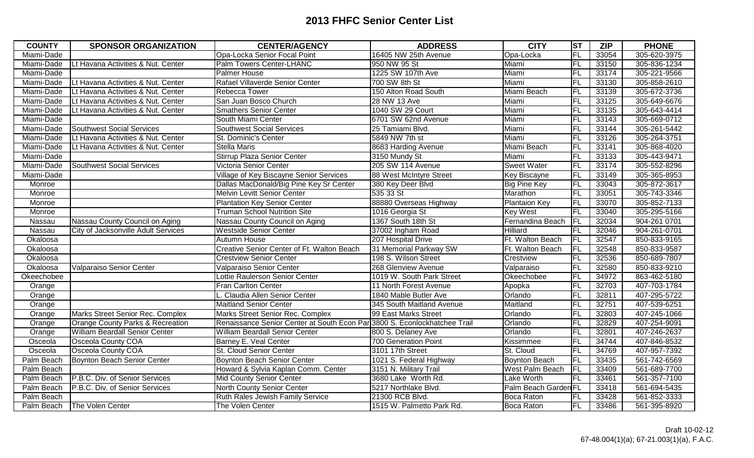| <b>COUNTY</b> | <b>SPONSOR ORGANIZATION</b>           | <b>CENTER/AGENCY</b>                                                      | <b>ADDRESS</b>            | <b>CITY</b>          | ST             | <b>ZIP</b> | <b>PHONE</b> |
|---------------|---------------------------------------|---------------------------------------------------------------------------|---------------------------|----------------------|----------------|------------|--------------|
| Miami-Dade    |                                       | Opa-Locka Senior Focal Point                                              | 16405 NW 25th Avenue      | Opa-Locka            | FL             | 33054      | 305-620-3975 |
| Miami-Dade    | Lt Havana Activities & Nut. Center    | Palm Towers Center-LHANC                                                  | 950 NW 95 St              | Miami                | FL             | 33150      | 305-836-1234 |
| Miami-Dade    |                                       | Palmer House                                                              | 1225 SW 107th Ave         | Miami                | FL             | 33174      | 305-221-9566 |
| Miami-Dade    | Lt Havana Activities & Nut. Center    | Rafael Villaverde Senior Center                                           | 700 SW 8th St             | Miami                | <b>FL</b>      | 33130      | 305-858-2610 |
| Miami-Dade    | Lt Havana Activities & Nut. Center    | Rebecca Tower                                                             | 150 Alton Road South      | Miami Beach          | FL             | 33139      | 305-672-3736 |
| Miami-Dade    | Lt Havana Activities & Nut. Center    | San Juan Bosco Church                                                     | 28 NW 13 Ave              | Miami                | FL             | 33125      | 305-649-6676 |
| Miami-Dade    | Lt Havana Activities & Nut. Center    | <b>Smathers Senior Center</b>                                             | 1040 SW 29 Court          | Miami                | FL             | 33135      | 305-643-4414 |
| Miami-Dade    |                                       | South Miami Center                                                        | 6701 SW 62nd Avenue       | Miami                | FL             | 33143      | 305-669-0712 |
| Miami-Dade    | <b>Southwest Social Services</b>      | <b>Southwest Social Services</b>                                          | 25 Tamiami Blvd.          | Miami                | FL             | 33144      | 305-261-5442 |
| Miami-Dade    | Lt Havana Activities & Nut. Center    | St. Dominic's Center                                                      | 5849 NW 7th st            | Miami                | FL             | 33126      | 305-264-3751 |
| Miami-Dade    | Lt Havana Activities & Nut. Center    | <b>Stella Maris</b>                                                       | 8683 Harding Avenue       | Miami Beach          | <b>FL</b>      | 33141      | 305-868-4020 |
| Miami-Dade    |                                       | Stirrup Plaza Senior Center                                               | 3150 Mundy St             | Miami                | FL             | 33133      | 305-443-9471 |
| Miami-Dade    | <b>Southwest Social Services</b>      | Victoria Senior Center                                                    | 205 SW 114 Avenue         | <b>Sweet Water</b>   | FL             | 33174      | 305-552-8296 |
| Miami-Dade    |                                       | Village of Key Biscayne Senior Services                                   | 88 West McIntyre Street   | Key Biscayne         | FL             | 33149      | 305-365-8953 |
| Monroe        |                                       | Dallas MacDonald/Big Pine Key Sr Center                                   | 380 Key Deer Blvd         | Big Pine Key         | FL             | 33043      | 305-872-3617 |
| Monroe        |                                       | <b>Melvin Levitt Senior Center</b>                                        | 535 33 St                 | Marathon             | FL             | 33051      | 305-743-3346 |
| Monroe        |                                       | <b>Plantation Key Senior Center</b>                                       | 88880 Overseas Highway    | <b>Plantaion Key</b> | FL             | 33070      | 305-852-7133 |
| Monroe        |                                       | <b>Truman School Nutrition Site</b>                                       | 1016 Georgia St           | Key West             | FL             | 33040      | 305-295-5166 |
| Nassau        | Nassau County Council on Aging        | Nassau County Council on Aging                                            | 1367 South 18th St        | Fernandina Beach     | <b>FL</b>      | 32034      | 904-261 0701 |
| Nassau        | City of Jacksonville Adult Services   | <b>Westside Senior Center</b>                                             | 37002 Ingham Road         | Hilliard             | FL             | 32046      | 904-261-0701 |
| Okaloosa      |                                       | Autumn House                                                              | 207 Hospital Drive        | Ft. Walton Beach     | <b>FL</b>      | 32547      | 850-833-9165 |
| Okaloosa      |                                       | Creative Senior Center of Ft. Walton Beach                                | 31 Memorial Parkway SW    | Ft. Walton Beach     | FL             | 32548      | 850-833-9587 |
| Okaloosa      |                                       | <b>Crestview Senior Center</b>                                            | 198 S. Wilson Street      | Crestview            | FL             | 32536      | 850-689-7807 |
| Okaloosa      | Valparaiso Senior Center              | Valparaiso Senior Center                                                  | 268 Glenview Avenue       | Valparaiso           | FL             | 32580      | 850-833-9210 |
| Okeechobee    |                                       | Lottie Raulerson Senior Center                                            | 1019 W. South Park Street | Okeechobee           | FL             | 34972      | 863-462-5180 |
| Orange        |                                       | Fran Carlton Center                                                       | 11 North Forest Avenue    | Apopka               | FL             | 32703      | 407-703-1784 |
| Orange        |                                       | L. Claudia Allen Senior Center                                            | 1840 Mable Butler Ave     | Orlando              | FL             | 32811      | 407-295-5722 |
| Orange        |                                       | <b>Maitland Senior Center</b>                                             | 345 South Maitland Avenue | Maitland             | FL             | 32751      | 407-539-6251 |
| Orange        | Marks Street Senior Rec. Complex      | Marks Street Senior Rec. Complex                                          | 99 East Marks Street      | Orlando              | FL             | 32803      | 407-245-1066 |
| Orange        | Orange County Parks & Recreation      | Renaissance Senior Center at South Econ Par 3800 S. Econlockhatchee Trail |                           | Orlando              | FL             | 32829      | 407-254-9091 |
| Orange        | <b>William Beardall Senior Center</b> | William Beardall Senior Center                                            | 800 S. Delaney Ave        | Orlando              | FL             | 32801      | 407-246-2637 |
| Osceola       | Osceola County COA                    | Barney E. Veal Center                                                     | 700 Generation Point      | Kissimmee            | FL             | 34744      | 407-846-8532 |
| Osceola       | Osceola County COA                    | St. Cloud Senior Center                                                   | 3101 17th Street          | St. Cloud            | FL             | 34769      | 407-957-7392 |
| Palm Beach    | Boynton Beach Senior Center           | <b>Boynton Beach Senior Center</b>                                        | 1021 S. Federal Highway   | Boynton Beach        | FL             | 33435      | 561-742-6569 |
| Palm Beach    |                                       | Howard & Sylvia Kaplan Comm. Center                                       | 3151 N. Military Trail    | West Palm Beach      | F <sub>L</sub> | 33409      | 561-689-7700 |
| Palm Beach    | P.B.C. Div. of Senior Services        | Mid County Senior Center                                                  | 3680 Lake Worth Rd.       | Lake Worth           | FL             | 33461      | 561-357-7100 |
| Palm Beach    | P.B.C. Div. of Senior Services        | North County Senior Center                                                | 5217 Northlake Blvd.      | Palm Beach Garden FL |                | 33418      | 561-694-5435 |
| Palm Beach    |                                       | Ruth Rales Jewish Family Service                                          | 21300 RCB Blvd.           | Boca Raton           | FL             | 33428      | 561-852-3333 |
| Palm Beach    | The Volen Center                      | The Volen Center                                                          | 1515 W. Palmetto Park Rd. | Boca Raton           | FL             | 33486      | 561-395-8920 |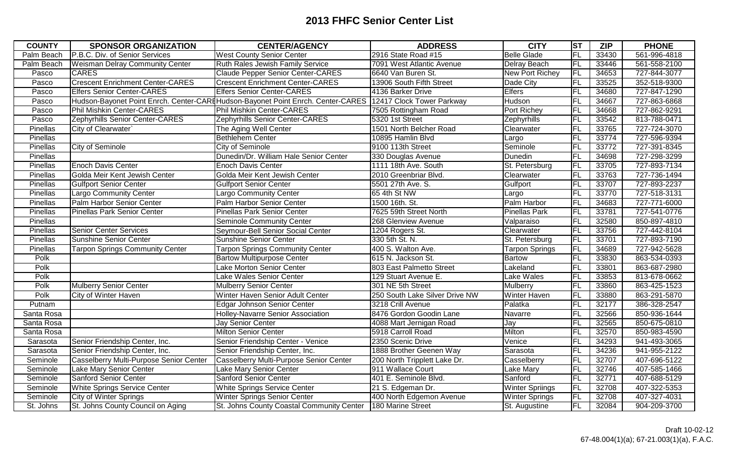| <b>COUNTY</b> | <b>SPONSOR ORGANIZATION</b>             | <b>CENTER/AGENCY</b>                                                                                       | <b>ADDRESS</b>                 | <b>CITY</b>            | ST        | <b>ZIP</b> | <b>PHONE</b> |
|---------------|-----------------------------------------|------------------------------------------------------------------------------------------------------------|--------------------------------|------------------------|-----------|------------|--------------|
| Palm Beach    | P.B.C. Div. of Senior Services          | <b>West County Senior Center</b>                                                                           | 2916 State Road #15            | <b>Belle Glade</b>     | FL        | 33430      | 561-996-4818 |
| Palm Beach    | <b>Weisman Delray Community Center</b>  | Ruth Rales Jewish Family Service                                                                           | 7091 West Atlantic Avenue      | Delray Beach           | FL        | 33446      | 561-558-2100 |
| Pasco         | <b>CARES</b>                            | <b>Claude Pepper Senior Center-CARES</b>                                                                   | 6640 Van Buren St.             | New Port Richey        | FL        | 34653      | 727-844-3077 |
| Pasco         | <b>Crescent Enrichment Center-CARES</b> | <b>Crescent Enrichment Center-CARES</b>                                                                    | 13906 South Fifth Street       | Dade City              | FL        | 33525      | 352-518-9300 |
| Pasco         | <b>Elfers Senior Center-CARES</b>       | <b>Elfers Senior Center-CARES</b>                                                                          | 4136 Barker Drive              | Elfers                 | FL        | 34680      | 727-847-1290 |
| Pasco         |                                         | Hudson-Bayonet Point Enrch. Center-CARt Hudson-Bayonet Point Enrch. Center-CARES 12417 Clock Tower Parkway |                                | Hudson                 | FL        | 34667      | 727-863-6868 |
| Pasco         | <b>Phil Mishkin Center-CARES</b>        | Phil Mishkin Center-CARES                                                                                  | 7505 Rottingham Road           | Port Richey            | FL        | 34668      | 727-862-9291 |
| Pasco         | Zephyrhills Senior Center-CARES         | Zephyrhills Senior Center-CARES                                                                            | 5320 1st Street                | Zephyrhills            | FL        | 33542      | 813-788-0471 |
| Pinellas      | City of Clearwater`                     | The Aging Well Center                                                                                      | 1501 North Belcher Road        | Clearwater             | FL        | 33765      | 727-724-3070 |
| Pinellas      |                                         | Bethlehem Center                                                                                           | 10895 Hamlin Blvd              | Largo                  | FL        | 33774      | 727-596-9394 |
| Pinellas      | City of Seminole                        | City of Seminole                                                                                           | 9100 113th Street              | Seminole               | <b>FL</b> | 33772      | 727-391-8345 |
| Pinellas      |                                         | Dunedin/Dr. William Hale Senior Center                                                                     | 330 Douglas Avenue             | Dunedin                | FL        | 34698      | 727-298-3299 |
| Pinellas      | <b>Enoch Davis Center</b>               | <b>Enoch Davis Center</b>                                                                                  | 1111 18th Ave. South           | St. Petersburg         | FL        | 33705      | 727-893-7134 |
| Pinellas      | Golda Meir Kent Jewish Center           | Golda Meir Kent Jewish Center                                                                              | 2010 Greenbriar Blvd.          | Clearwater             | FL        | 33763      | 727-736-1494 |
| Pinellas      | <b>Gulfport Senior Center</b>           | <b>Gulfport Senior Center</b>                                                                              | 5501 27th Ave. S.              | Gulfport               | FL        | 33707      | 727-893-2237 |
| Pinellas      | <b>Largo Community Center</b>           | <b>Largo Community Center</b>                                                                              | 65 4th St NW                   | Largo                  | FL        | 33770      | 727-518-3131 |
| Pinellas      | Palm Harbor Senior Center               | Palm Harbor Senior Center                                                                                  | 1500 16th. St.                 | Palm Harbor            | FL        | 34683      | 727-771-6000 |
| Pinellas      | <b>Pinellas Park Senior Center</b>      | <b>Pinellas Park Senior Center</b>                                                                         | 7625 59th Street North         | <b>Pinellas Park</b>   | FL        | 33781      | 727-541-0776 |
| Pinellas      |                                         | Seminole Community Center                                                                                  | 268 Glenview Avenue            | Valparaiso             | FL        | 32580      | 850-897-4810 |
| Pinellas      | <b>Senior Center Services</b>           | Seymour-Bell Senior Social Center                                                                          | 1204 Rogers St.                | Clearwater             | FL        | 33756      | 727-442-8104 |
| Pinellas      | <b>Sunshine Senior Center</b>           | <b>Sunshine Senior Center</b>                                                                              | 330 5th St. N.                 | St. Petersburg         | FL        | 33701      | 727-893-7190 |
| Pinellas      | <b>Tarpon Springs Community Center</b>  | <b>Tarpon Springs Community Center</b>                                                                     | 400 S. Walton Ave.             | <b>Tarpon Springs</b>  | FL        | 34689      | 727-942-5628 |
| Polk          |                                         | <b>Bartow Multipurpose Center</b>                                                                          | 615 N. Jackson St.             | <b>Bartow</b>          | FL        | 33830      | 863-534-0393 |
| Polk          |                                         | Lake Morton Senior Center                                                                                  | 803 East Palmetto Street       | Lakeland               | FL        | 33801      | 863-687-2980 |
| Polk          |                                         | Lake Wales Senior Center                                                                                   | 129 Stuart Avenue E.           | Lake Wales             | FL        | 33853      | 813-678-0662 |
| Polk          | <b>Mulberry Senior Center</b>           | <b>Mulberry Senior Center</b>                                                                              | 301 NE 5th Street              | Mulberry               | FL        | 33860      | 863-425-1523 |
| Polk          | City of Winter Haven                    | Winter Haven Senior Adult Center                                                                           | 250 South Lake Silver Drive NW | Winter Haven           | FL        | 33880      | 863-291-5870 |
| Putnam        |                                         | <b>Edgar Johnson Senior Center</b>                                                                         | 3218 Crill Avenue              | Palatka                | FL        | 32177      | 386-328-2547 |
| Santa Rosa    |                                         | Holley-Navarre Senior Association                                                                          | 8476 Gordon Goodin Lane        | Navarre                | FL        | 32566      | 850-936-1644 |
| Santa Rosa    |                                         | Jay Senior Center                                                                                          | 4088 Mart Jernigan Road        | Jay                    | FL        | 32565      | 850-675-0810 |
| Santa Rosa    |                                         | <b>Milton Senior Center</b>                                                                                | 5918 Carroll Road              | Milton                 | FL        | 32570      | 850-983-4590 |
| Sarasota      | Senior Friendship Center, Inc.          | Senior Friendship Center - Venice                                                                          | 2350 Scenic Drive              | Venice                 | FL        | 34293      | 941-493-3065 |
| Sarasota      | Senior Friendship Center, Inc.          | Senior Friendship Center, Inc.                                                                             | 1888 Brother Geenen Way        | Sarasota               | FL        | 34236      | 941-955-2122 |
| Seminole      | Casselberry Multi-Purpose Senior Center | Casselberry Multi-Purpose Senior Center                                                                    | 200 North Tripplett Lake Dr.   | Casselberry            | FL        | 32707      | 407-696-5122 |
| Seminole      | Lake Mary Senior Center                 | Lake Mary Senior Center                                                                                    | 911 Wallace Court              | Lake Mary              | FL        | 32746      | 407-585-1466 |
| Seminole      | <b>Sanford Senior Center</b>            | Sanford Senior Center                                                                                      | 401 E. Seminole Blvd.          | Sanford                | FL        | 32771      | 407-688-5129 |
| Seminole      | White Springs Service Center            | White Springs Service Center                                                                               | 21 S. Edgeman Dr.              | <b>Winter Spriings</b> | FL        | 32708      | 407-322-5353 |
| Seminole      | <b>City of Winter Springs</b>           | Winter Springs Senior Center                                                                               | 400 North Edgemon Avenue       | <b>Winter Springs</b>  | FL        | 32708      | 407-327-4031 |
| St. Johns     | St. Johns County Council on Aging       | St. Johns County Coastal Community Center                                                                  | 180 Marine Street              | St. Augustine          | FL        | 32084      | 904-209-3700 |